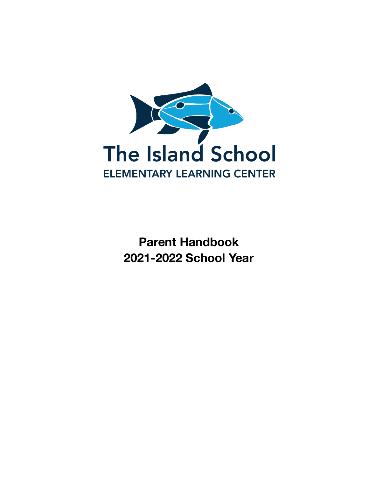

**Parent Handbook 2021-2022 School Year**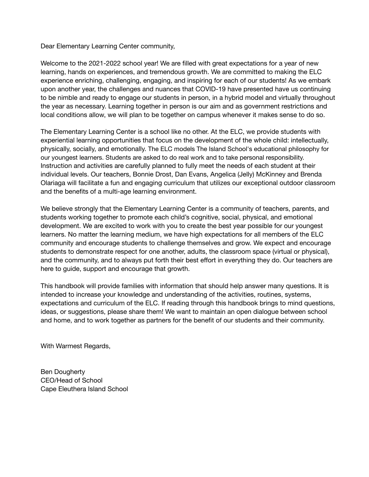Dear Elementary Learning Center community,

Welcome to the 2021-2022 school year! We are filled with great expectations for a year of new learning, hands on experiences, and tremendous growth. We are committed to making the ELC experience enriching, challenging, engaging, and inspiring for each of our students! As we embark upon another year, the challenges and nuances that COVID-19 have presented have us continuing to be nimble and ready to engage our students in person, in a hybrid model and virtually throughout the year as necessary. Learning together in person is our aim and as government restrictions and local conditions allow, we will plan to be together on campus whenever it makes sense to do so.

The Elementary Learning Center is a school like no other. At the ELC, we provide students with experiential learning opportunities that focus on the development of the whole child: intellectually, physically, socially, and emotionally. The ELC models The Island School's educational philosophy for our youngest learners. Students are asked to do real work and to take personal responsibility. Instruction and activities are carefully planned to fully meet the needs of each student at their individual levels. Our teachers, Bonnie Drost, Dan Evans, Angelica (Jelly) McKinney and Brenda Olariaga will facilitate a fun and engaging curriculum that utilizes our exceptional outdoor classroom and the benefits of a multi-age learning environment.

We believe strongly that the Elementary Learning Center is a community of teachers, parents, and students working together to promote each child's cognitive, social, physical, and emotional development. We are excited to work with you to create the best year possible for our youngest learners. No matter the learning medium, we have high expectations for all members of the ELC community and encourage students to challenge themselves and grow. We expect and encourage students to demonstrate respect for one another, adults, the classroom space (virtual or physical), and the community, and to always put forth their best effort in everything they do. Our teachers are here to guide, support and encourage that growth.

This handbook will provide families with information that should help answer many questions. It is intended to increase your knowledge and understanding of the activities, routines, systems, expectations and curriculum of the ELC. If reading through this handbook brings to mind questions, ideas, or suggestions, please share them! We want to maintain an open dialogue between school and home, and to work together as partners for the benefit of our students and their community.

With Warmest Regards,

Ben Dougherty CEO/Head of School Cape Eleuthera Island School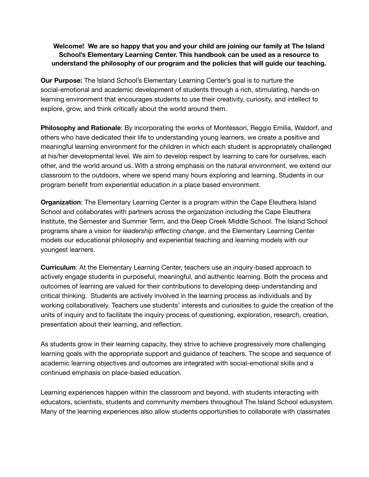## **Welcome! We are so happy that you and your child are joining our family at The Island School's Elementary Learning Center. This handbook can be used as a resource to understand the philosophy of our program and the policies that will guide our teaching.**

**Our Purpose:** The Island School's Elementary Learning Center's goal is to nurture the social-emotional and academic development of students through a rich, stimulating, hands-on learning environment that encourages students to use their creativity, curiosity, and intellect to explore, grow, and think critically about the world around them.

**Philosophy and Rationale**: By incorporating the works of Montessori, Reggio Emilia, Waldorf, and others who have dedicated their life to understanding young learners, we create a positive and meaningful learning environment for the children in which each student is appropriately challenged at his/her developmental level. We aim to develop respect by learning to care for ourselves, each other, and the world around us. With a strong emphasis on the natural environment, we extend our classroom to the outdoors, where we spend many hours exploring and learning. Students in our program benefit from experiential education in a place based environment.

**Organization**: The Elementary Learning Center is a program within the Cape Eleuthera Island School and collaborates with partners across the organization including the Cape Eleuthera Institute, the Semester and Summer Term, and the Deep Creek Middle School. The Island School programs share a vision for *leadership effecting change*, and the Elementary Learning Center models our educational philosophy and experiential teaching and learning models with our youngest learners.

**Curriculum**: At the Elementary Learning Center, teachers use an inquiry-based approach to actively engage students in purposeful, meaningful, and authentic learning. Both the process and outcomes of learning are valued for their contributions to developing deep understanding and critical thinking. Students are actively involved in the learning process as individuals and by working collaboratively. Teachers use students' interests and curiosities to guide the creation of the units of inquiry and to facilitate the inquiry process of questioning, exploration, research, creation, presentation about their learning, and reflection.

As students grow in their learning capacity, they strive to achieve progressively more challenging learning goals with the appropriate support and guidance of teachers. The scope and sequence of academic learning objectives and outcomes are integrated with social-emotional skills and a continued emphasis on place-based education.

Learning experiences happen within the classroom and beyond, with students interacting with educators, scientists, students and community members throughout The Island School edusystem. Many of the learning experiences also allow students opportunities to collaborate with classmates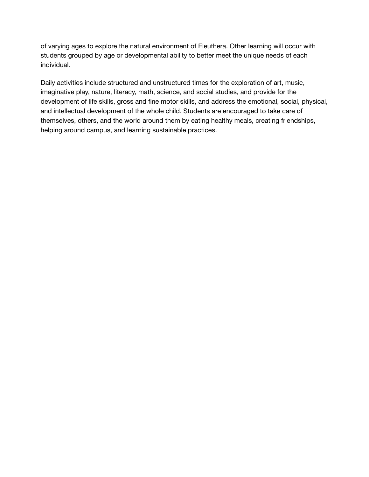of varying ages to explore the natural environment of Eleuthera. Other learning will occur with students grouped by age or developmental ability to better meet the unique needs of each individual.

Daily activities include structured and unstructured times for the exploration of art, music, imaginative play, nature, literacy, math, science, and social studies, and provide for the development of life skills, gross and fine motor skills, and address the emotional, social, physical, and intellectual development of the whole child. Students are encouraged to take care of themselves, others, and the world around them by eating healthy meals, creating friendships, helping around campus, and learning sustainable practices.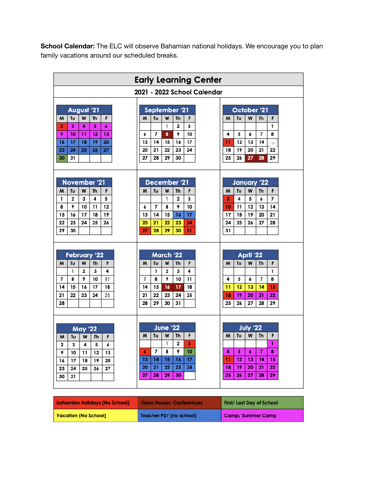**School Calendar:** The ELC will observe Bahamian national holidays. We encourage you to plan family vacations around our scheduled breaks.

| <b>Early Learning Center</b>                                                                                                                                                       |                                                                                                                                                                                                                                                                                                                                                                            |  |  |
|------------------------------------------------------------------------------------------------------------------------------------------------------------------------------------|----------------------------------------------------------------------------------------------------------------------------------------------------------------------------------------------------------------------------------------------------------------------------------------------------------------------------------------------------------------------------|--|--|
|                                                                                                                                                                                    | 2021 - 2022 School Calendar                                                                                                                                                                                                                                                                                                                                                |  |  |
| August '21<br>Tυ<br>Th<br>F<br>M<br>W<br>$\overline{2}$<br>6<br>3<br>4<br>5<br>9<br>13<br>10<br>11<br>12<br>17<br>19<br>20<br>16<br>18<br>26<br>27<br>23<br>24<br>25<br>30<br>31   | September '21<br>October '21<br>Tυ<br>W<br>Th<br>F<br>Tu<br>W<br>Th<br>F<br>м<br>м<br>1<br>2<br>3<br>1<br>$\overline{7}$<br>9<br>7<br>8<br>10<br>4<br>5<br>6<br>8<br>6<br>14<br>15<br>17<br>13<br>14<br>13<br>16<br>11<br>12<br>$\overline{\phantom{a}}$<br>20<br>21<br>22<br>23<br>24<br>19<br>20<br>21<br>22<br>18<br>27<br>28<br>25<br>29<br>30<br>26<br>27<br>28<br>29 |  |  |
| <b>November '21</b><br>Tυ<br><b>Th</b><br>F<br>M<br>w<br>2<br>5<br>1<br>з<br>4<br>12<br>8<br>9<br>10<br>11<br>19<br>16<br>17<br>15<br>18<br>22<br>23<br>24<br>25<br>26<br>29<br>30 | December '21<br>January '22<br>W<br>Tυ<br>W<br>Th<br>F<br>Tu<br>Th<br>F<br>M<br>м<br>2<br>5<br>7<br>1<br>3<br>3<br>4<br>6<br>$\overline{7}$<br>8<br>9<br>10<br>12<br>13<br>14<br>6<br>10<br>11<br>17<br>14<br>15<br>19<br>13<br>16<br>17<br>18<br>20<br>21<br>21<br>22<br>25<br>26<br>27<br>28<br>20<br>23<br>24<br>24<br>27<br>28<br>29<br>30<br>31<br>31                 |  |  |
| <b>February '22</b><br>Tυ<br>W<br>Th<br>F<br>M<br>3<br>4<br>1<br>2<br>7<br>11<br>8<br>9<br>10<br>17<br>14<br>15<br>16<br>18<br>21<br>22<br>23<br>24<br>25<br>28                    | <b>March '22</b><br>April '22<br>W<br>W<br>Tυ<br><b>Th</b><br>F<br>Tu<br><b>Th</b><br>F<br>м<br>м<br>2<br>3<br>1<br>4<br>1<br>$\overline{7}$<br>9<br>7<br>8<br>10<br>11<br>4<br>5<br>6<br>8<br>17<br>14<br>15<br>16<br>18<br>12<br>13<br>14<br>15<br>11<br>22<br>23<br>24<br>25<br>19<br>21<br>18<br>20<br>21<br>22<br>29<br>26<br>28<br>30<br>31<br>25<br>27<br>28<br>29  |  |  |
| <b>May '22</b><br>Tu<br>F<br>м<br>W<br>Th<br>2<br>3<br>4<br>5<br>6<br>9<br>12<br>13<br>10<br>11<br>16<br>19<br>17<br>18<br>20<br>23<br>24<br>25<br>26<br>27<br>30<br>31            | <b>June '22</b><br><b>July '22</b><br>W<br>W<br>F<br>F<br>Τυ<br>Th<br>м<br>Τυ<br>Th<br>M<br>1<br>2<br>3<br>1<br>$\overline{7}$<br>8<br>9<br>10<br>7<br>4<br>5<br>6<br>8<br>6<br>17<br>13<br>14<br>15<br>16<br>11<br>12<br>13<br>14<br>15<br>21<br>24<br>22<br>19<br>20<br>21<br>22<br>20<br>23<br>18<br>28<br>29<br>25<br>27<br>29<br>27<br>30<br>26<br>28                 |  |  |

| <b>Bahamian Holidays (No School)</b> | <b>Open House/ Conferences</b> | First/ Last Day of School |
|--------------------------------------|--------------------------------|---------------------------|
| <b>Vacation (No School)</b>          | Teacher PD/ (no school)        | <b>Camp/SummerCamp</b>    |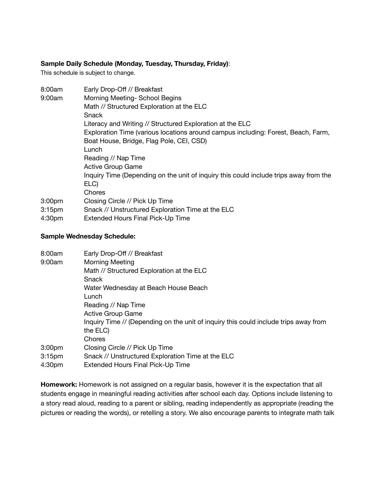## **Sample Daily Schedule (Monday, Tuesday, Thursday, Friday)**:

This schedule is subject to change.

| 8:00am                     | Early Drop-Off // Breakfast                                                           |  |  |
|----------------------------|---------------------------------------------------------------------------------------|--|--|
| 9:00am                     | Morning Meeting- School Begins                                                        |  |  |
|                            | Math // Structured Exploration at the ELC                                             |  |  |
|                            | Snack                                                                                 |  |  |
|                            | Literacy and Writing // Structured Exploration at the ELC                             |  |  |
|                            | Exploration Time (various locations around campus including: Forest, Beach, Farm,     |  |  |
|                            | Boat House, Bridge, Flag Pole, CEI, CSD)                                              |  |  |
|                            | Lunch                                                                                 |  |  |
|                            | Reading // Nap Time                                                                   |  |  |
|                            | <b>Active Group Game</b>                                                              |  |  |
|                            | Inquiry Time (Depending on the unit of inquiry this could include trips away from the |  |  |
|                            | ELC)                                                                                  |  |  |
|                            | Chores                                                                                |  |  |
| 3:00 <sub>pm</sub>         | Closing Circle // Pick Up Time                                                        |  |  |
| 3:15 <sub>pm</sub>         | Snack // Unstructured Exploration Time at the ELC                                     |  |  |
| 4:30 <sub>pm</sub>         | Extended Hours Final Pick-Up Time                                                     |  |  |
|                            |                                                                                       |  |  |
| Samnla Wadnaeday Schadula: |                                                                                       |  |  |

## **Sample Wednesday Schedule:**

| 8:00am             | Early Drop-Off // Breakfast                                                          |
|--------------------|--------------------------------------------------------------------------------------|
| 9:00am             | <b>Morning Meeting</b>                                                               |
|                    | Math // Structured Exploration at the ELC                                            |
|                    | Snack                                                                                |
|                    | Water Wednesday at Beach House Beach                                                 |
|                    | Lunch                                                                                |
|                    | Reading // Nap Time                                                                  |
|                    | Active Group Game                                                                    |
|                    | Inquiry Time // (Depending on the unit of inquiry this could include trips away from |
|                    | the ELC)                                                                             |
|                    | Chores                                                                               |
| 3:00 <sub>pm</sub> | Closing Circle // Pick Up Time                                                       |
| 3:15 <sub>pm</sub> | Snack // Unstructured Exploration Time at the ELC                                    |
| 4:30 <sub>pm</sub> | <b>Extended Hours Final Pick-Up Time</b>                                             |

**Homework:** Homework is not assigned on a regular basis, however it is the expectation that all students engage in meaningful reading activities after school each day. Options include listening to a story read aloud, reading to a parent or sibling, reading independently as appropriate (reading the pictures or reading the words), or retelling a story. We also encourage parents to integrate math talk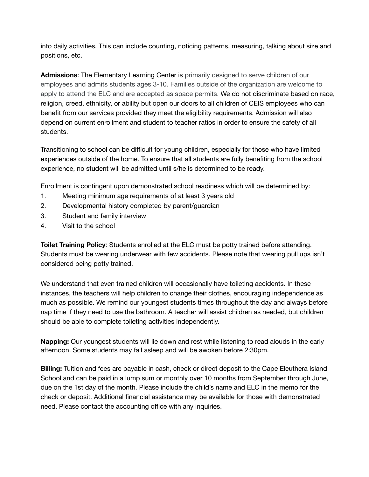into daily activities. This can include counting, noticing patterns, measuring, talking about size and positions, etc.

**Admissions**: The Elementary Learning Center is primarily designed to serve children of our employees and admits students ages 3-10. Families outside of the organization are welcome to apply to attend the ELC and are accepted as space permits. We do not discriminate based on race, religion, creed, ethnicity, or ability but open our doors to all children of CEIS employees who can benefit from our services provided they meet the eligibility requirements. Admission will also depend on current enrollment and student to teacher ratios in order to ensure the safety of all students.

Transitioning to school can be difficult for young children, especially for those who have limited experiences outside of the home. To ensure that all students are fully benefiting from the school experience, no student will be admitted until s/he is determined to be ready.

Enrollment is contingent upon demonstrated school readiness which will be determined by:

- 1. Meeting minimum age requirements of at least 3 years old
- 2. Developmental history completed by parent/guardian
- 3. Student and family interview
- 4. Visit to the school

**Toilet Training Policy**: Students enrolled at the ELC must be potty trained before attending. Students must be wearing underwear with few accidents. Please note that wearing pull ups isn't considered being potty trained.

We understand that even trained children will occasionally have toileting accidents. In these instances, the teachers will help children to change their clothes, encouraging independence as much as possible. We remind our youngest students times throughout the day and always before nap time if they need to use the bathroom. A teacher will assist children as needed, but children should be able to complete toileting activities independently.

**Napping:** Our youngest students will lie down and rest while listening to read alouds in the early afternoon. Some students may fall asleep and will be awoken before 2:30pm.

**Billing:** Tuition and fees are payable in cash, check or direct deposit to the Cape Eleuthera Island School and can be paid in a lump sum or monthly over 10 months from September through June, due on the 1st day of the month. Please include the child's name and ELC in the memo for the check or deposit. Additional financial assistance may be available for those with demonstrated need. Please contact the accounting office with any inquiries.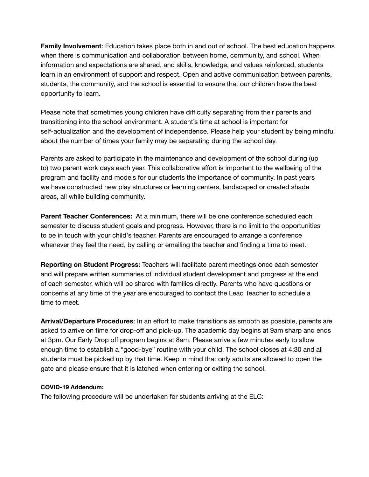**Family Involvement**: Education takes place both in and out of school. The best education happens when there is communication and collaboration between home, community, and school. When information and expectations are shared, and skills, knowledge, and values reinforced, students learn in an environment of support and respect. Open and active communication between parents, students, the community, and the school is essential to ensure that our children have the best opportunity to learn.

Please note that sometimes young children have difficulty separating from their parents and transitioning into the school environment. A student's time at school is important for self-actualization and the development of independence. Please help your student by being mindful about the number of times your family may be separating during the school day.

Parents are asked to participate in the maintenance and development of the school during (up to) two parent work days each year. This collaborative effort is important to the wellbeing of the program and facility and models for our students the importance of community. In past years we have constructed new play structures or learning centers, landscaped or created shade areas, all while building community.

**Parent Teacher Conferences:** At a minimum, there will be one conference scheduled each semester to discuss student goals and progress. However, there is no limit to the opportunities to be in touch with your child's teacher. Parents are encouraged to arrange a conference whenever they feel the need, by calling or emailing the teacher and finding a time to meet.

**Reporting on Student Progress:** Teachers will facilitate parent meetings once each semester and will prepare written summaries of individual student development and progress at the end of each semester, which will be shared with families directly. Parents who have questions or concerns at any time of the year are encouraged to contact the Lead Teacher to schedule a time to meet.

**Arrival/Departure Procedures**: In an effort to make transitions as smooth as possible, parents are asked to arrive on time for drop-off and pick-up. The academic day begins at 9am sharp and ends at 3pm. Our Early Drop off program begins at 8am. Please arrive a few minutes early to allow enough time to establish a "good-bye" routine with your child. The school closes at 4:30 and all students must be picked up by that time. Keep in mind that only adults are allowed to open the gate and please ensure that it is latched when entering or exiting the school.

## **COVID-19 Addendum:**

The following procedure will be undertaken for students arriving at the ELC: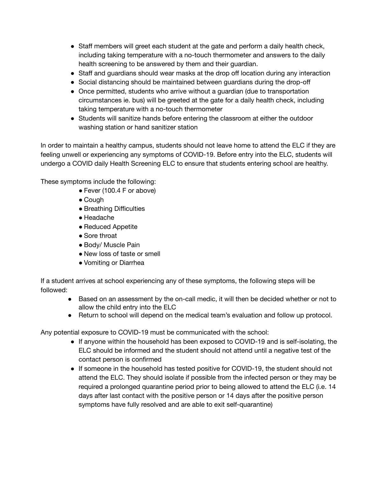- Staff members will greet each student at the gate and perform a daily health check, including taking temperature with a no-touch thermometer and answers to the daily health screening to be answered by them and their guardian.
- Staff and guardians should wear masks at the drop off location during any interaction
- Social distancing should be maintained between guardians during the drop-off
- Once permitted, students who arrive without a guardian (due to transportation circumstances ie. bus) will be greeted at the gate for a daily health check, including taking temperature with a no-touch thermometer
- Students will sanitize hands before entering the classroom at either the outdoor washing station or hand sanitizer station

In order to maintain a healthy campus, students should not leave home to attend the ELC if they are feeling unwell or experiencing any symptoms of COVID-19. Before entry into the ELC, students will undergo a COVID daily Health Screening ELC to ensure that students entering school are healthy.

These symptoms include the following:

- Fever (100.4 F or above)
- Cough
- Breathing Difficulties
- Headache
- Reduced Appetite
- Sore throat
- Body/ Muscle Pain
- New loss of taste or smell
- Vomiting or Diarrhea

If a student arrives at school experiencing any of these symptoms, the following steps will be followed:

- Based on an assessment by the on-call medic, it will then be decided whether or not to allow the child entry into the ELC
- Return to school will depend on the medical team's evaluation and follow up protocol.

Any potential exposure to COVID-19 must be communicated with the school:

- If anyone within the household has been exposed to COVID-19 and is self-isolating, the ELC should be informed and the student should not attend until a negative test of the contact person is confirmed
- If someone in the household has tested positive for COVID-19, the student should not attend the ELC. They should isolate if possible from the infected person or they may be required a prolonged quarantine period prior to being allowed to attend the ELC (i.e. 14 days after last contact with the positive person or 14 days after the positive person symptoms have fully resolved and are able to exit self-quarantine)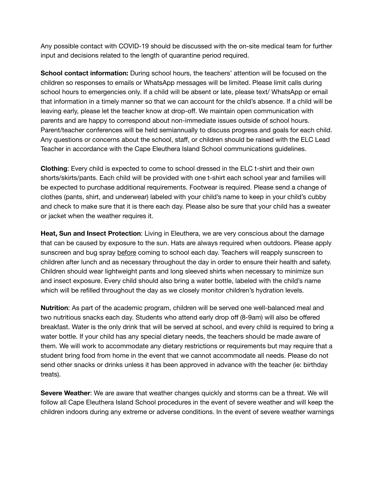Any possible contact with COVID-19 should be discussed with the on-site medical team for further input and decisions related to the length of quarantine period required.

**School contact information:** During school hours, the teachers' attention will be focused on the children so responses to emails or WhatsApp messages will be limited. Please limit calls during school hours to emergencies only. If a child will be absent or late, please text/ WhatsApp or email that information in a timely manner so that we can account for the child's absence. If a child will be leaving early, please let the teacher know at drop-off. We maintain open communication with parents and are happy to correspond about non-immediate issues outside of school hours. Parent/teacher conferences will be held semiannually to discuss progress and goals for each child. Any questions or concerns about the school, staff, or children should be raised with the ELC Lead Teacher in accordance with the Cape Eleuthera Island School communications guidelines.

**Clothing**: Every child is expected to come to school dressed in the ELC t-shirt and their own shorts/skirts/pants. Each child will be provided with one t-shirt each school year and families will be expected to purchase additional requirements. Footwear is required. Please send a change of clothes (pants, shirt, and underwear) labeled with your child's name to keep in your child's cubby and check to make sure that it is there each day. Please also be sure that your child has a sweater or jacket when the weather requires it.

**Heat, Sun and Insect Protection**: Living in Eleuthera, we are very conscious about the damage that can be caused by exposure to the sun. Hats are always required when outdoors. Please apply sunscreen and bug spray before coming to school each day. Teachers will reapply sunscreen to children after lunch and as necessary throughout the day in order to ensure their health and safety. Children should wear lightweight pants and long sleeved shirts when necessary to minimize sun and insect exposure. Every child should also bring a water bottle, labeled with the child's name which will be refilled throughout the day as we closely monitor children's hydration levels.

**Nutrition**: As part of the academic program, children will be served one well-balanced meal and two nutritious snacks each day. Students who attend early drop off (8-9am) will also be offered breakfast. Water is the only drink that will be served at school, and every child is required to bring a water bottle. If your child has any special dietary needs, the teachers should be made aware of them. We will work to accommodate any dietary restrictions or requirements but may require that a student bring food from home in the event that we cannot accommodate all needs. Please do not send other snacks or drinks unless it has been approved in advance with the teacher (ie: birthday treats).

**Severe Weather**: We are aware that weather changes quickly and storms can be a threat. We will follow all Cape Eleuthera Island School procedures in the event of severe weather and will keep the children indoors during any extreme or adverse conditions. In the event of severe weather warnings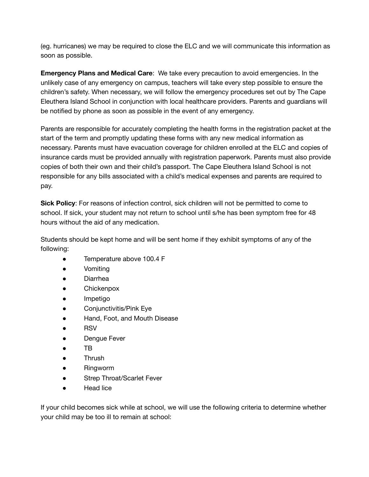(eg. hurricanes) we may be required to close the ELC and we will communicate this information as soon as possible.

**Emergency Plans and Medical Care**: We take every precaution to avoid emergencies. In the unlikely case of any emergency on campus, teachers will take every step possible to ensure the children's safety. When necessary, we will follow the emergency procedures set out by The Cape Eleuthera Island School in conjunction with local healthcare providers. Parents and guardians will be notified by phone as soon as possible in the event of any emergency.

Parents are responsible for accurately completing the health forms in the registration packet at the start of the term and promptly updating these forms with any new medical information as necessary. Parents must have evacuation coverage for children enrolled at the ELC and copies of insurance cards must be provided annually with registration paperwork. Parents must also provide copies of both their own and their child's passport. The Cape Eleuthera Island School is not responsible for any bills associated with a child's medical expenses and parents are required to pay.

**Sick Policy**: For reasons of infection control, sick children will not be permitted to come to school. If sick, your student may not return to school until s/he has been symptom free for 48 hours without the aid of any medication.

Students should be kept home and will be sent home if they exhibit symptoms of any of the following:

- Temperature above 100.4 F
- Vomiting
- Diarrhea
- Chickenpox
- Impetigo
- Conjunctivitis/Pink Eye
- Hand, Foot, and Mouth Disease
- RSV
- Dengue Fever
- TB
- Thrush
- Ringworm
- Strep Throat/Scarlet Fever
- **Head lice**

If your child becomes sick while at school, we will use the following criteria to determine whether your child may be too ill to remain at school: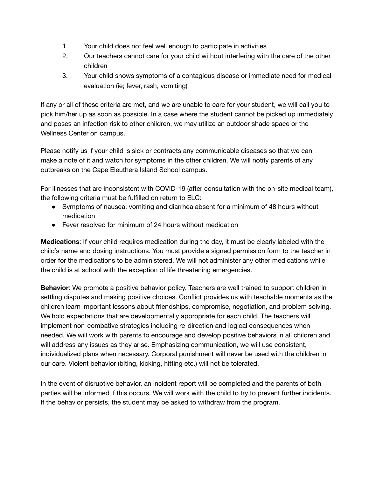- 1. Your child does not feel well enough to participate in activities
- 2. Our teachers cannot care for your child without interfering with the care of the other children
- 3. Your child shows symptoms of a contagious disease or immediate need for medical evaluation (ie; fever, rash, vomiting)

If any or all of these criteria are met, and we are unable to care for your student, we will call you to pick him/her up as soon as possible. In a case where the student cannot be picked up immediately and poses an infection risk to other children, we may utilize an outdoor shade space or the Wellness Center on campus.

Please notify us if your child is sick or contracts any communicable diseases so that we can make a note of it and watch for symptoms in the other children. We will notify parents of any outbreaks on the Cape Eleuthera Island School campus.

For illnesses that are inconsistent with COVID-19 (after consultation with the on-site medical team), the following criteria must be fulfilled on return to ELC:

- Symptoms of nausea, vomiting and diarrhea absent for a minimum of 48 hours without medication
- Fever resolved for minimum of 24 hours without medication

**Medications**: If your child requires medication during the day, it must be clearly labeled with the child's name and dosing instructions. You must provide a signed permission form to the teacher in order for the medications to be administered. We will not administer any other medications while the child is at school with the exception of life threatening emergencies.

**Behavior**: We promote a positive behavior policy. Teachers are well trained to support children in settling disputes and making positive choices. Conflict provides us with teachable moments as the children learn important lessons about friendships, compromise, negotiation, and problem solving. We hold expectations that are developmentally appropriate for each child. The teachers will implement non-combative strategies including re-direction and logical consequences when needed. We will work with parents to encourage and develop positive behaviors in all children and will address any issues as they arise. Emphasizing communication, we will use consistent, individualized plans when necessary. Corporal punishment will never be used with the children in our care. Violent behavior (biting, kicking, hitting etc.) will not be tolerated.

In the event of disruptive behavior, an incident report will be completed and the parents of both parties will be informed if this occurs. We will work with the child to try to prevent further incidents. If the behavior persists, the student may be asked to withdraw from the program.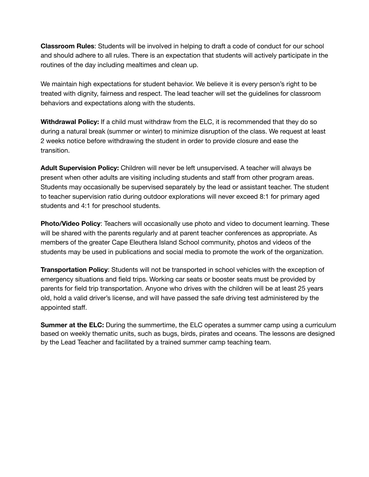**Classroom Rules**: Students will be involved in helping to draft a code of conduct for our school and should adhere to all rules. There is an expectation that students will actively participate in the routines of the day including mealtimes and clean up.

We maintain high expectations for student behavior. We believe it is every person's right to be treated with dignity, fairness and respect. The lead teacher will set the guidelines for classroom behaviors and expectations along with the students.

**Withdrawal Policy:** If a child must withdraw from the ELC, it is recommended that they do so during a natural break (summer or winter) to minimize disruption of the class. We request at least 2 weeks notice before withdrawing the student in order to provide closure and ease the transition.

**Adult Supervision Policy:** Children will never be left unsupervised. A teacher will always be present when other adults are visiting including students and staff from other program areas. Students may occasionally be supervised separately by the lead or assistant teacher. The student to teacher supervision ratio during outdoor explorations will never exceed 8:1 for primary aged students and 4:1 for preschool students.

**Photo/Video Policy**: Teachers will occasionally use photo and video to document learning. These will be shared with the parents regularly and at parent teacher conferences as appropriate. As members of the greater Cape Eleuthera Island School community, photos and videos of the students may be used in publications and social media to promote the work of the organization.

**Transportation Policy**: Students will not be transported in school vehicles with the exception of emergency situations and field trips. Working car seats or booster seats must be provided by parents for field trip transportation. Anyone who drives with the children will be at least 25 years old, hold a valid driver's license, and will have passed the safe driving test administered by the appointed staff.

**Summer at the ELC:** During the summertime, the ELC operates a summer camp using a curriculum based on weekly thematic units, such as bugs, birds, pirates and oceans. The lessons are designed by the Lead Teacher and facilitated by a trained summer camp teaching team.